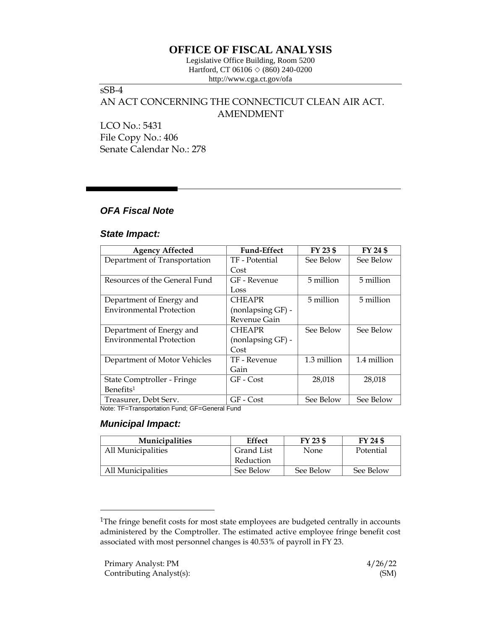# **OFFICE OF FISCAL ANALYSIS**

Legislative Office Building, Room 5200 Hartford, CT 06106  $\Diamond$  (860) 240-0200 http://www.cga.ct.gov/ofa

## sSB-4

# AN ACT CONCERNING THE CONNECTICUT CLEAN AIR ACT. AMENDMENT

LCO No.: 5431 File Copy No.: 406 Senate Calendar No.: 278

## *OFA Fiscal Note*

### *State Impact:*

| <b>Agency Affected</b>          | <b>Fund-Effect</b> | FY 23 \$    | FY 24 \$    |
|---------------------------------|--------------------|-------------|-------------|
| Department of Transportation    | TF - Potential     | See Below   | See Below   |
|                                 | Cost               |             |             |
| Resources of the General Fund   | GF - Revenue       | 5 million   | 5 million   |
|                                 | Loss               |             |             |
| Department of Energy and        | <b>CHEAPR</b>      | 5 million   | 5 million   |
| <b>Environmental Protection</b> | (nonlapsing GF) -  |             |             |
|                                 | Revenue Gain       |             |             |
| Department of Energy and        | <b>CHEAPR</b>      | See Below   | See Below   |
| <b>Environmental Protection</b> | (nonlapsing GF) -  |             |             |
|                                 | Cost               |             |             |
| Department of Motor Vehicles    | TF - Revenue       | 1.3 million | 1.4 million |
|                                 | Gain               |             |             |
| State Comptroller - Fringe      | $GF - Cost$        | 28,018      | 28,018      |
| Benefits <sup>1</sup>           |                    |             |             |
| Treasurer, Debt Serv.           | GF - Cost          | See Below   | See Below   |

Note: TF=Transportation Fund; GF=General Fund

### *Municipal Impact:*

| <b>Municipalities</b> | Effect     | FY 23 \$  | FY 24 \$  |
|-----------------------|------------|-----------|-----------|
| All Municipalities    | Grand List | None      | Potential |
|                       | Reduction  |           |           |
| All Municipalities    | See Below  | See Below | See Below |

<sup>&</sup>lt;sup>1</sup>The fringe benefit costs for most state employees are budgeted centrally in accounts administered by the Comptroller. The estimated active employee fringe benefit cost associated with most personnel changes is 40.53% of payroll in FY 23.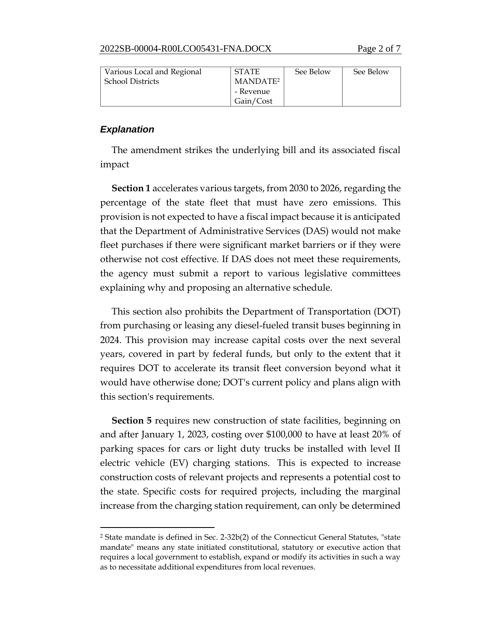| Various Local and Regional | <b>STATE</b>         | See Below | See Below |
|----------------------------|----------------------|-----------|-----------|
| <b>School Districts</b>    | MANDATE <sup>2</sup> |           |           |
|                            | - Revenue            |           |           |
|                            | Gain/Cost            |           |           |

### *Explanation*

The amendment strikes the underlying bill and its associated fiscal impact

**Section 1** accelerates various targets, from 2030 to 2026, regarding the percentage of the state fleet that must have zero emissions. This provision is not expected to have a fiscal impact because it is anticipated that the Department of Administrative Services (DAS) would not make fleet purchases if there were significant market barriers or if they were otherwise not cost effective. If DAS does not meet these requirements, the agency must submit a report to various legislative committees explaining why and proposing an alternative schedule.

This section also prohibits the Department of Transportation (DOT) from purchasing or leasing any diesel-fueled transit buses beginning in 2024. This provision may increase capital costs over the next several years, covered in part by federal funds, but only to the extent that it requires DOT to accelerate its transit fleet conversion beyond what it would have otherwise done; DOT's current policy and plans align with this section's requirements.

**Section 5** requires new construction of state facilities, beginning on and after January 1, 2023, costing over \$100,000 to have at least 20% of parking spaces for cars or light duty trucks be installed with level II electric vehicle (EV) charging stations. This is expected to increase construction costs of relevant projects and represents a potential cost to the state. Specific costs for required projects, including the marginal increase from the charging station requirement, can only be determined

<sup>2</sup> State mandate is defined in Sec. 2-32b(2) of the Connecticut General Statutes, "state mandate" means any state initiated constitutional, statutory or executive action that requires a local government to establish, expand or modify its activities in such a way as to necessitate additional expenditures from local revenues.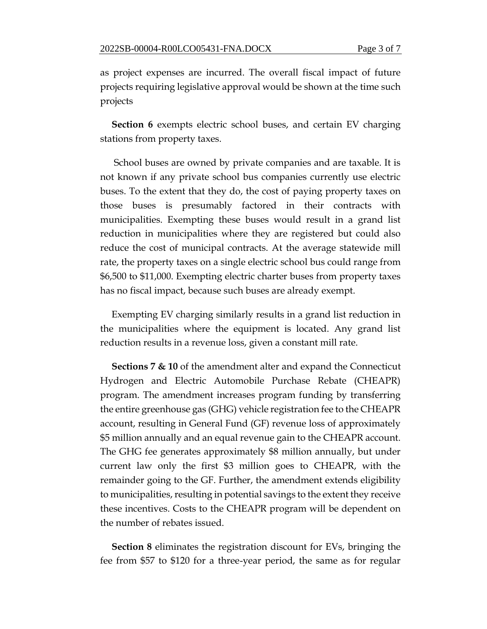as project expenses are incurred. The overall fiscal impact of future projects requiring legislative approval would be shown at the time such projects

**Section 6** exempts electric school buses, and certain EV charging stations from property taxes.

School buses are owned by private companies and are taxable. It is not known if any private school bus companies currently use electric buses. To the extent that they do, the cost of paying property taxes on those buses is presumably factored in their contracts with municipalities. Exempting these buses would result in a grand list reduction in municipalities where they are registered but could also reduce the cost of municipal contracts. At the average statewide mill rate, the property taxes on a single electric school bus could range from \$6,500 to \$11,000. Exempting electric charter buses from property taxes has no fiscal impact, because such buses are already exempt.

Exempting EV charging similarly results in a grand list reduction in the municipalities where the equipment is located. Any grand list reduction results in a revenue loss, given a constant mill rate.

**Sections 7 & 10** of the amendment alter and expand the Connecticut Hydrogen and Electric Automobile Purchase Rebate (CHEAPR) program. The amendment increases program funding by transferring the entire greenhouse gas (GHG) vehicle registration fee to the CHEAPR account, resulting in General Fund (GF) revenue loss of approximately \$5 million annually and an equal revenue gain to the CHEAPR account. The GHG fee generates approximately \$8 million annually, but under current law only the first \$3 million goes to CHEAPR, with the remainder going to the GF. Further, the amendment extends eligibility to municipalities, resulting in potential savings to the extent they receive these incentives. Costs to the CHEAPR program will be dependent on the number of rebates issued.

**Section 8** eliminates the registration discount for EVs, bringing the fee from \$57 to \$120 for a three-year period, the same as for regular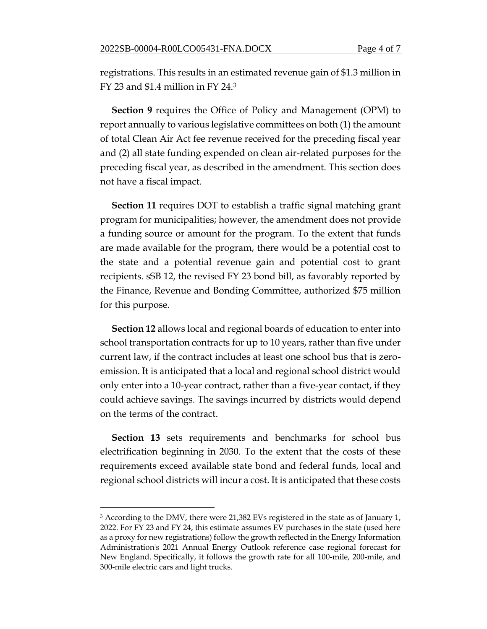registrations. This results in an estimated revenue gain of \$1.3 million in FY 23 and \$1.4 million in FY 24.<sup>3</sup>

**Section 9** requires the Office of Policy and Management (OPM) to report annually to various legislative committees on both (1) the amount of total Clean Air Act fee revenue received for the preceding fiscal year and (2) all state funding expended on clean air-related purposes for the preceding fiscal year, as described in the amendment. This section does not have a fiscal impact.

**Section 11** requires DOT to establish a traffic signal matching grant program for municipalities; however, the amendment does not provide a funding source or amount for the program. To the extent that funds are made available for the program, there would be a potential cost to the state and a potential revenue gain and potential cost to grant recipients. sSB 12, the revised FY 23 bond bill, as favorably reported by the Finance, Revenue and Bonding Committee, authorized \$75 million for this purpose.

**Section 12** allows local and regional boards of education to enter into school transportation contracts for up to 10 years, rather than five under current law, if the contract includes at least one school bus that is zeroemission. It is anticipated that a local and regional school district would only enter into a 10-year contract, rather than a five-year contact, if they could achieve savings. The savings incurred by districts would depend on the terms of the contract.

**Section 13** sets requirements and benchmarks for school bus electrification beginning in 2030. To the extent that the costs of these requirements exceed available state bond and federal funds, local and regional school districts will incur a cost. It is anticipated that these costs

<sup>&</sup>lt;sup>3</sup> According to the DMV, there were 21,382 EVs registered in the state as of January 1, 2022. For FY 23 and FY 24, this estimate assumes EV purchases in the state (used here as a proxy for new registrations) follow the growth reflected in the Energy Information Administration's 2021 Annual Energy Outlook reference case regional forecast for New England. Specifically, it follows the growth rate for all 100-mile, 200-mile, and 300-mile electric cars and light trucks.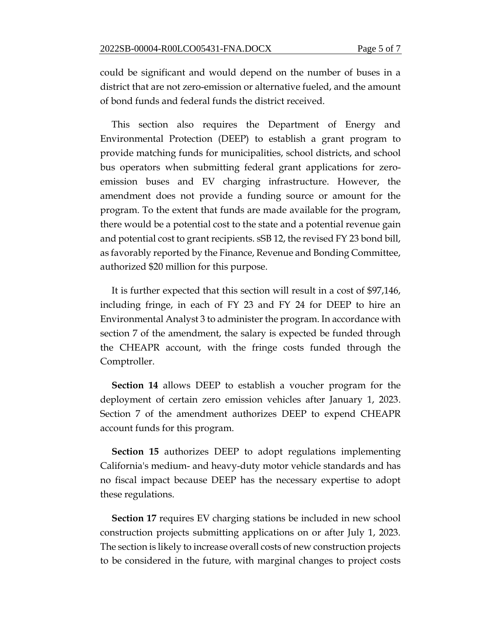could be significant and would depend on the number of buses in a district that are not zero-emission or alternative fueled, and the amount of bond funds and federal funds the district received.

This section also requires the Department of Energy and Environmental Protection (DEEP) to establish a grant program to provide matching funds for municipalities, school districts, and school bus operators when submitting federal grant applications for zeroemission buses and EV charging infrastructure. However, the amendment does not provide a funding source or amount for the program. To the extent that funds are made available for the program, there would be a potential cost to the state and a potential revenue gain and potential cost to grant recipients. sSB 12, the revised FY 23 bond bill, as favorably reported by the Finance, Revenue and Bonding Committee, authorized \$20 million for this purpose.

It is further expected that this section will result in a cost of \$97,146, including fringe, in each of FY 23 and FY 24 for DEEP to hire an Environmental Analyst 3 to administer the program. In accordance with section 7 of the amendment, the salary is expected be funded through the CHEAPR account, with the fringe costs funded through the Comptroller.

**Section 14** allows DEEP to establish a voucher program for the deployment of certain zero emission vehicles after January 1, 2023. Section 7 of the amendment authorizes DEEP to expend CHEAPR account funds for this program.

**Section 15** authorizes DEEP to adopt regulations implementing California's medium- and heavy-duty motor vehicle standards and has no fiscal impact because DEEP has the necessary expertise to adopt these regulations.

**Section 17** requires EV charging stations be included in new school construction projects submitting applications on or after July 1, 2023. The section is likely to increase overall costs of new construction projects to be considered in the future, with marginal changes to project costs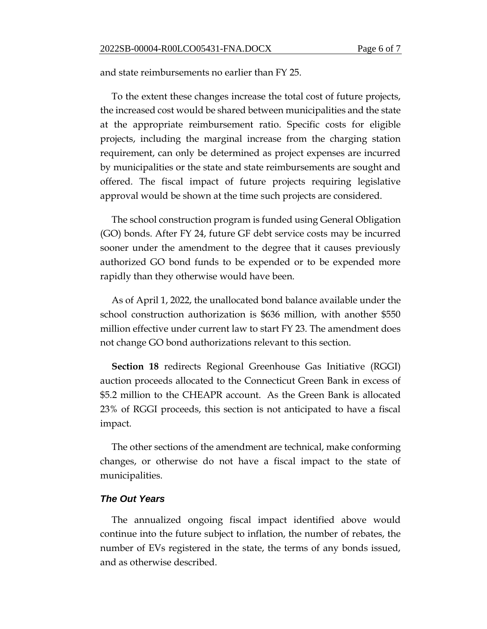and state reimbursements no earlier than FY 25.

To the extent these changes increase the total cost of future projects, the increased cost would be shared between municipalities and the state at the appropriate reimbursement ratio. Specific costs for eligible projects, including the marginal increase from the charging station requirement, can only be determined as project expenses are incurred by municipalities or the state and state reimbursements are sought and offered. The fiscal impact of future projects requiring legislative approval would be shown at the time such projects are considered.

The school construction program is funded using General Obligation (GO) bonds. After FY 24, future GF debt service costs may be incurred sooner under the amendment to the degree that it causes previously authorized GO bond funds to be expended or to be expended more rapidly than they otherwise would have been.

As of April 1, 2022, the unallocated bond balance available under the school construction authorization is \$636 million, with another \$550 million effective under current law to start FY 23. The amendment does not change GO bond authorizations relevant to this section.

**Section 18** redirects Regional Greenhouse Gas Initiative (RGGI) auction proceeds allocated to the Connecticut Green Bank in excess of \$5.2 million to the CHEAPR account. As the Green Bank is allocated 23% of RGGI proceeds, this section is not anticipated to have a fiscal impact.

The other sections of the amendment are technical, make conforming changes, or otherwise do not have a fiscal impact to the state of municipalities.

### *The Out Years*

The annualized ongoing fiscal impact identified above would continue into the future subject to inflation, the number of rebates, the number of EVs registered in the state, the terms of any bonds issued, and as otherwise described.